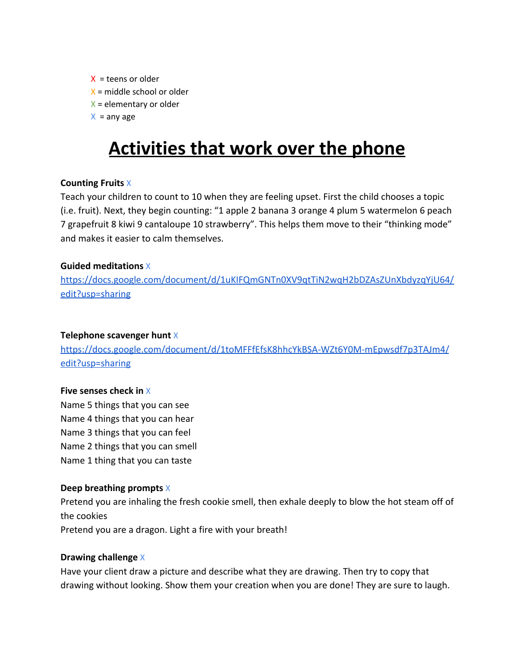$X =$  teens or older  $X$  = middle school or older  $X =$  elementary or older

 $X =$ any age

# **Activities that work over the phone**

# **Counting Fruits** X

Teach your children to count to 10 when they are feeling upset. First the child chooses a topic (i.e. fruit). Next, they begin counting: "1 apple 2 banana 3 orange 4 plum 5 watermelon 6 peach 7 grapefruit 8 kiwi 9 cantaloupe 10 strawberry". This helps them move to their "thinking mode" and makes it easier to calm themselves.

# **Guided meditations** X

[https://docs.google.com/document/d/1uKIFQmGNTn0XV9qtTiN2wqH2bDZAsZUnXbdyzqYjU64/](https://docs.google.com/document/d/1uKIFQmGNTn0XV9qtTiN2wqH2bDZAsZUnXbdyzqYjU64/edit?usp=sharing) [edit?usp=sharing](https://docs.google.com/document/d/1uKIFQmGNTn0XV9qtTiN2wqH2bDZAsZUnXbdyzqYjU64/edit?usp=sharing)

#### **Telephone scavenger hunt** X

[https://docs.google.com/document/d/1toMFFfEfsK8hhcYkBSA-WZt6Y0M-mEpwsdf7p3TAJm4/](https://docs.google.com/document/d/1toMFFfEfsK8hhcYkBSA-WZt6Y0M-mEpwsdf7p3TAJm4/edit?usp=sharing) [edit?usp=sharing](https://docs.google.com/document/d/1toMFFfEfsK8hhcYkBSA-WZt6Y0M-mEpwsdf7p3TAJm4/edit?usp=sharing)

#### **Five senses check in** X

Name 5 things that you can see Name 4 things that you can hear Name 3 things that you can feel Name 2 things that you can smell Name 1 thing that you can taste

# **Deep breathing prompts** X

Pretend you are inhaling the fresh cookie smell, then exhale deeply to blow the hot steam off of the cookies Pretend you are a dragon. Light a fire with your breath!

#### **Drawing challenge** X

Have your client draw a picture and describe what they are drawing. Then try to copy that drawing without looking. Show them your creation when you are done! They are sure to laugh.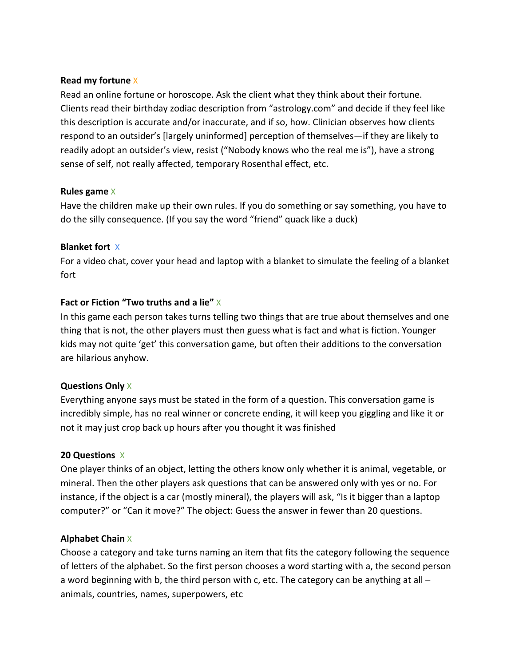#### **Read my fortune** X

Read an online fortune or horoscope. Ask the client what they think about their fortune. Clients read their birthday zodiac description from "astrology.com" and decide if they feel like this description is accurate and/or inaccurate, and if so, how. Clinician observes how clients respond to an outsider's [largely uninformed] perception of themselves—if they are likely to readily adopt an outsider's view, resist ("Nobody knows who the real me is"), have a strong sense of self, not really affected, temporary Rosenthal effect, etc.

### **Rules game** X

Have the children make up their own rules. If you do something or say something, you have to do the silly consequence. (If you say the word "friend" quack like a duck)

### **Blanket fort** X

For a video chat, cover your head and laptop with a blanket to simulate the feeling of a blanket fort

# **Fact or Fiction "Two truths and a lie"** X

In this game each person takes turns telling two things that are true about themselves and one thing that is not, the other players must then guess what is fact and what is fiction. Younger kids may not quite 'get' this conversation game, but often their additions to the conversation are hilarious anyhow.

# **Questions Only** X

Everything anyone says must be stated in the form of a question. This conversation game is incredibly simple, has no real winner or concrete ending, it will keep you giggling and like it or not it may just crop back up hours after you thought it was finished

# **20 Questions** X

One player thinks of an object, letting the others know only whether it is animal, vegetable, or mineral. Then the other players ask questions that can be answered only with yes or no. For instance, if the object is a car (mostly mineral), the players will ask, "Is it bigger than a laptop computer?" or "Can it move?" The object: Guess the answer in fewer than 20 questions.

# **Alphabet Chain** X

Choose a category and take turns naming an item that fits the category following the sequence of letters of the alphabet. So the first person chooses a word starting with a, the second person a word beginning with b, the third person with c, etc. The category can be anything at all – animals, countries, names, superpowers, etc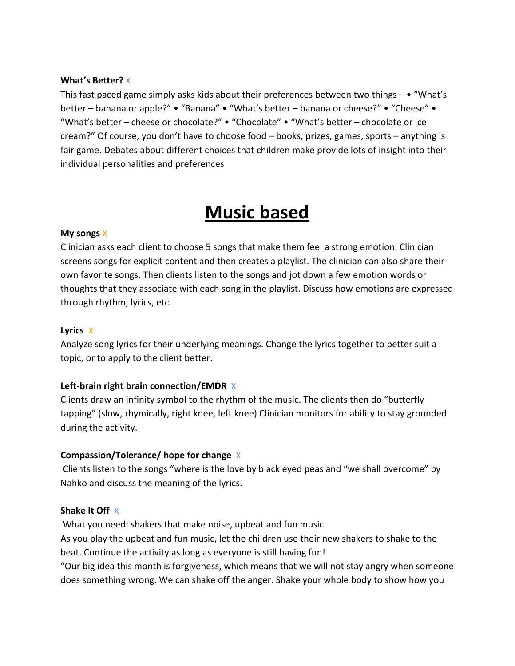#### **What's Better?** X

This fast paced game simply asks kids about their preferences between two things  $- \cdot$  "What's better – banana or apple?" • "Banana" • "What's better – banana or cheese?" • "Cheese" • "What's better – cheese or chocolate?" • "Chocolate" • "What's better – chocolate or ice cream?" Of course, you don't have to choose food – books, prizes, games, sports – anything is fair game. Debates about different choices that children make provide lots of insight into their individual personalities and preferences

# **Music based**

### **My songs** X

Clinician asks each client to choose 5 songs that make them feel a strong emotion. Clinician screens songs for explicit content and then creates a playlist. The clinician can also share their own favorite songs. Then clients listen to the songs and jot down a few emotion words or thoughts that they associate with each song in the playlist. Discuss how emotions are expressed through rhythm, lyrics, etc.

# **Lyrics** X

Analyze song lyrics for their underlying meanings. Change the lyrics together to better suit a topic, or to apply to the client better.

# **Left-brain right brain connection/EMDR** X

Clients draw an infinity symbol to the rhythm of the music. The clients then do "butterfly tapping" (slow, rhymically, right knee, left knee) Clinician monitors for ability to stay grounded during the activity.

# **Compassion/Tolerance/ hope for change** X

Clients listen to the songs "where is the love by black eyed peas and "we shall overcome" by Nahko and discuss the meaning of the lyrics.

#### **Shake It Off** X

 What you need: shakers that make noise, upbeat and fun music As you play the upbeat and fun music, let the children use their new shakers to shake to the beat. Continue the activity as long as everyone is still having fun!

"Our big idea this month is forgiveness, which means that we will not stay angry when someone does something wrong. We can shake off the anger. Shake your whole body to show how you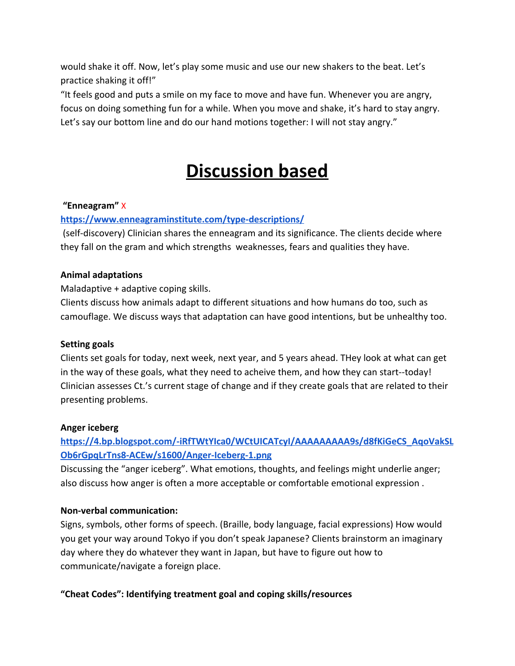would shake it off. Now, let's play some music and use our new shakers to the beat. Let's practice shaking it off!"

"It feels good and puts a smile on my face to move and have fun. Whenever you are angry, focus on doing something fun for a while. When you move and shake, it's hard to stay angry. Let's say our bottom line and do our hand motions together: I will not stay angry."

# **Discussion based**

# **"Enneagram"** X

# **<https://www.enneagraminstitute.com/type-descriptions/>**

 (self-discovery) Clinician shares the enneagram and its significance. The clients decide where they fall on the gram and which strengths weaknesses, fears and qualities they have.

### **Animal adaptations**

### Maladaptive + adaptive coping skills.

Clients discuss how animals adapt to different situations and how humans do too, such as camouflage. We discuss ways that adaptation can have good intentions, but be unhealthy too.

#### **Setting goals**

Clients set goals for today, next week, next year, and 5 years ahead. THey look at what can get in the way of these goals, what they need to acheive them, and how they can start--today! Clinician assesses Ct.'s current stage of change and if they create goals that are related to their presenting problems.

#### **Anger iceberg**

# **[https://4.bp.blogspot.com/-iRfTWtYIca0/WCtUICATcyI/AAAAAAAAA9s/d8fKiGeCS\\_AqoVakSL](https://4.bp.blogspot.com/-iRfTWtYIca0/WCtUICATcyI/AAAAAAAAA9s/d8fKiGeCS_AqoVakSLOb6rGpqLrTns8-ACEw/s1600/Anger-Iceberg-1.png) [Ob6rGpqLrTns8-ACEw/s1600/Anger-Iceberg-1.png](https://4.bp.blogspot.com/-iRfTWtYIca0/WCtUICATcyI/AAAAAAAAA9s/d8fKiGeCS_AqoVakSLOb6rGpqLrTns8-ACEw/s1600/Anger-Iceberg-1.png)**

Discussing the "anger iceberg". What emotions, thoughts, and feelings might underlie anger; also discuss how anger is often a more acceptable or comfortable emotional expression .

#### **Non-verbal communication:**

Signs, symbols, other forms of speech. (Braille, body language, facial expressions) How would you get your way around Tokyo if you don't speak Japanese? Clients brainstorm an imaginary day where they do whatever they want in Japan, but have to figure out how to communicate/navigate a foreign place.

# **"Cheat Codes": Identifying treatment goal and coping skills/resources**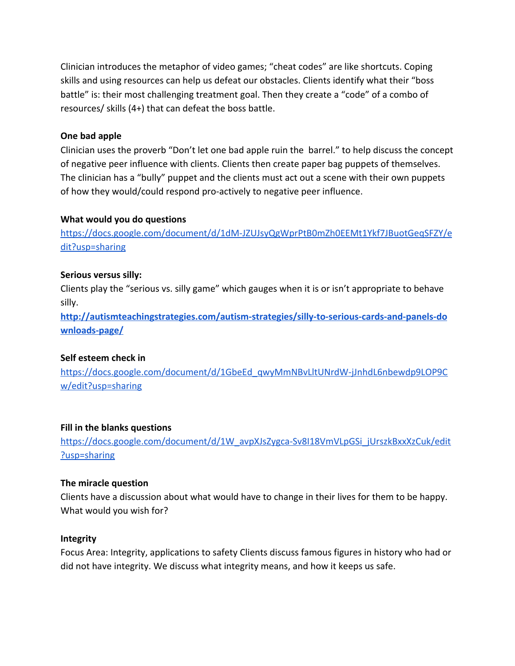Clinician introduces the metaphor of video games; "cheat codes" are like shortcuts. Coping skills and using resources can help us defeat our obstacles. Clients identify what their "boss battle" is: their most challenging treatment goal. Then they create a "code" of a combo of resources/ skills (4+) that can defeat the boss battle.

#### **One bad apple**

Clinician uses the proverb "Don't let one bad apple ruin the barrel." to help discuss the concept of negative peer influence with clients. Clients then create paper bag puppets of themselves. The clinician has a "bully" puppet and the clients must act out a scene with their own puppets of how they would/could respond pro-actively to negative peer influence.

#### **What would you do questions**

[https://docs.google.com/document/d/1dM-JZUJsyQgWprPtB0mZh0EEMt1Ykf7JBuotGeqSFZY/e](https://docs.google.com/document/d/1dM-JZUJsyQgWprPtB0mZh0EEMt1Ykf7JBuotGeqSFZY/edit?usp=sharing) [dit?usp=sharing](https://docs.google.com/document/d/1dM-JZUJsyQgWprPtB0mZh0EEMt1Ykf7JBuotGeqSFZY/edit?usp=sharing)

#### **Serious versus silly:**

Clients play the "serious vs. silly game" which gauges when it is or isn't appropriate to behave silly.

**[http://autismteachingstrategies.com/autism-strategies/silly-to-serious-cards-and-panels-do](http://autismteachingstrategies.com/autism-strategies/silly-to-serious-cards-and-panels-downloads-page/) [wnloads-page/](http://autismteachingstrategies.com/autism-strategies/silly-to-serious-cards-and-panels-downloads-page/)**

#### **Self esteem check in**

[https://docs.google.com/document/d/1GbeEd\\_qwyMmNBvLltUNrdW-jJnhdL6nbewdp9LOP9C](https://docs.google.com/document/d/1GbeEd_qwyMmNBvLltUNrdW-jJnhdL6nbewdp9LOP9Cw/edit?usp=sharing) [w/edit?usp=sharing](https://docs.google.com/document/d/1GbeEd_qwyMmNBvLltUNrdW-jJnhdL6nbewdp9LOP9Cw/edit?usp=sharing)

#### **Fill in the blanks questions**

[https://docs.google.com/document/d/1W\\_avpXJsZygca-Sv8I18VmVLpGSi\\_jUrszkBxxXzCuk/edit](https://docs.google.com/document/d/1W_avpXJsZygca-Sv8I18VmVLpGSi_jUrszkBxxXzCuk/edit?usp=sharing) [?usp=sharing](https://docs.google.com/document/d/1W_avpXJsZygca-Sv8I18VmVLpGSi_jUrszkBxxXzCuk/edit?usp=sharing)

#### **The miracle question**

Clients have a discussion about what would have to change in their lives for them to be happy. What would you wish for?

#### **Integrity**

Focus Area: Integrity, applications to safety Clients discuss famous figures in history who had or did not have integrity. We discuss what integrity means, and how it keeps us safe.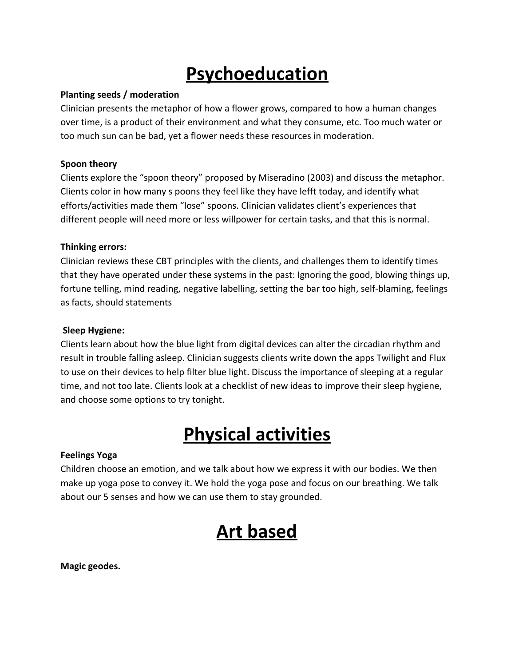# **Psychoeducation**

### **Planting seeds / moderation**

Clinician presents the metaphor of how a flower grows, compared to how a human changes over time, is a product of their environment and what they consume, etc. Too much water or too much sun can be bad, yet a flower needs these resources in moderation.

# **Spoon theory**

Clients explore the "spoon theory" proposed by Miseradino (2003) and discuss the metaphor. Clients color in how many s poons they feel like they have lefft today, and identify what efforts/activities made them "lose" spoons. Clinician validates client's experiences that different people will need more or less willpower for certain tasks, and that this is normal.

### **Thinking errors:**

Clinician reviews these CBT principles with the clients, and challenges them to identify times that they have operated under these systems in the past: Ignoring the good, blowing things up, fortune telling, mind reading, negative labelling, setting the bar too high, self-blaming, feelings as facts, should statements

#### **Sleep Hygiene:**

Clients learn about how the blue light from digital devices can alter the circadian rhythm and result in trouble falling asleep. Clinician suggests clients write down the apps Twilight and Flux to use on their devices to help filter blue light. Discuss the importance of sleeping at a regular time, and not too late. Clients look at a checklist of new ideas to improve their sleep hygiene, and choose some options to try tonight.

# **Physical activities**

#### **Feelings Yoga**

Children choose an emotion, and we talk about how we express it with our bodies. We then make up yoga pose to convey it. We hold the yoga pose and focus on our breathing. We talk about our 5 senses and how we can use them to stay grounded.

# **Art based**

**Magic geodes.**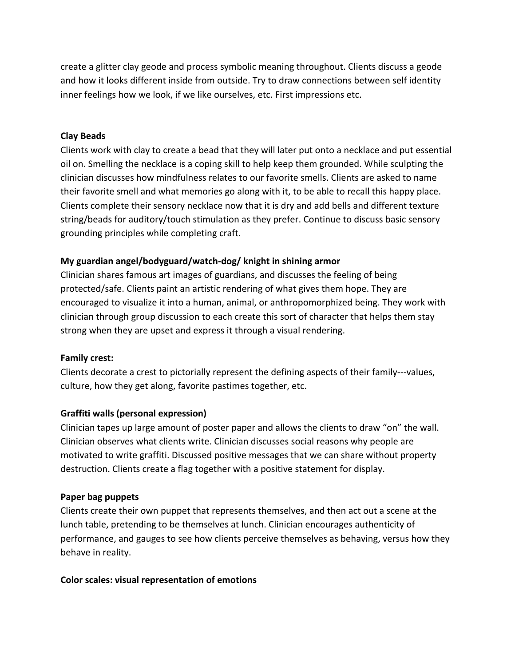create a glitter clay geode and process symbolic meaning throughout. Clients discuss a geode and how it looks different inside from outside. Try to draw connections between self identity inner feelings how we look, if we like ourselves, etc. First impressions etc.

# **Clay Beads**

Clients work with clay to create a bead that they will later put onto a necklace and put essential oil on. Smelling the necklace is a coping skill to help keep them grounded. While sculpting the clinician discusses how mindfulness relates to our favorite smells. Clients are asked to name their favorite smell and what memories go along with it, to be able to recall this happy place. Clients complete their sensory necklace now that it is dry and add bells and different texture string/beads for auditory/touch stimulation as they prefer. Continue to discuss basic sensory grounding principles while completing craft.

# **My guardian angel/bodyguard/watch-dog/ knight in shining armor**

Clinician shares famous art images of guardians, and discusses the feeling of being protected/safe. Clients paint an artistic rendering of what gives them hope. They are encouraged to visualize it into a human, animal, or anthropomorphized being. They work with clinician through group discussion to each create this sort of character that helps them stay strong when they are upset and express it through a visual rendering.

#### **Family crest:**

Clients decorate a crest to pictorially represent the defining aspects of their family---values, culture, how they get along, favorite pastimes together, etc.

#### **Graffiti walls (personal expression)**

Clinician tapes up large amount of poster paper and allows the clients to draw "on" the wall. Clinician observes what clients write. Clinician discusses social reasons why people are motivated to write graffiti. Discussed positive messages that we can share without property destruction. Clients create a flag together with a positive statement for display.

#### **Paper bag puppets**

Clients create their own puppet that represents themselves, and then act out a scene at the lunch table, pretending to be themselves at lunch. Clinician encourages authenticity of performance, and gauges to see how clients perceive themselves as behaving, versus how they behave in reality.

#### **Color scales: visual representation of emotions**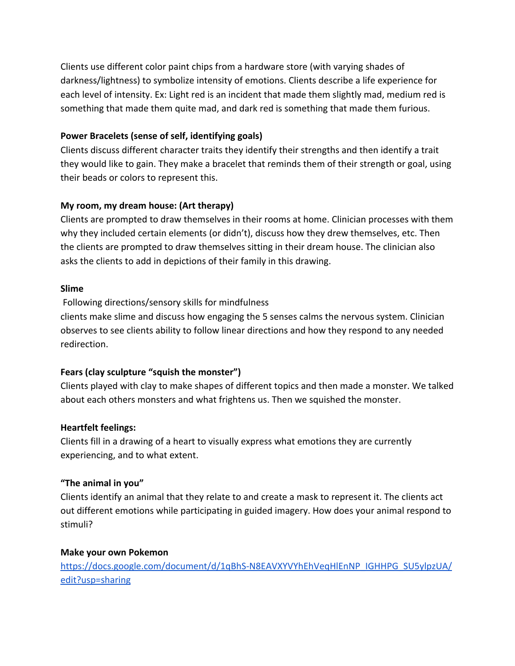Clients use different color paint chips from a hardware store (with varying shades of darkness/lightness) to symbolize intensity of emotions. Clients describe a life experience for each level of intensity. Ex: Light red is an incident that made them slightly mad, medium red is something that made them quite mad, and dark red is something that made them furious.

# **Power Bracelets (sense of self, identifying goals)**

Clients discuss different character traits they identify their strengths and then identify a trait they would like to gain. They make a bracelet that reminds them of their strength or goal, using their beads or colors to represent this.

# **My room, my dream house: (Art therapy)**

Clients are prompted to draw themselves in their rooms at home. Clinician processes with them why they included certain elements (or didn't), discuss how they drew themselves, etc. Then the clients are prompted to draw themselves sitting in their dream house. The clinician also asks the clients to add in depictions of their family in this drawing.

# **Slime**

Following directions/sensory skills for mindfulness

clients make slime and discuss how engaging the 5 senses calms the nervous system. Clinician observes to see clients ability to follow linear directions and how they respond to any needed redirection.

# **Fears (clay sculpture "squish the monster")**

Clients played with clay to make shapes of different topics and then made a monster. We talked about each others monsters and what frightens us. Then we squished the monster.

# **Heartfelt feelings:**

Clients fill in a drawing of a heart to visually express what emotions they are currently experiencing, and to what extent.

# **"The animal in you"**

Clients identify an animal that they relate to and create a mask to represent it. The clients act out different emotions while participating in guided imagery. How does your animal respond to stimuli?

# **Make your own Pokemon**

[https://docs.google.com/document/d/1qBhS-N8EAVXYVYhEhVeqHlEnNP\\_IGHHPG\\_SU5ylpzUA/](https://docs.google.com/document/d/1qBhS-N8EAVXYVYhEhVeqHlEnNP_IGHHPG_SU5ylpzUA/edit?usp=sharing) [edit?usp=sharing](https://docs.google.com/document/d/1qBhS-N8EAVXYVYhEhVeqHlEnNP_IGHHPG_SU5ylpzUA/edit?usp=sharing)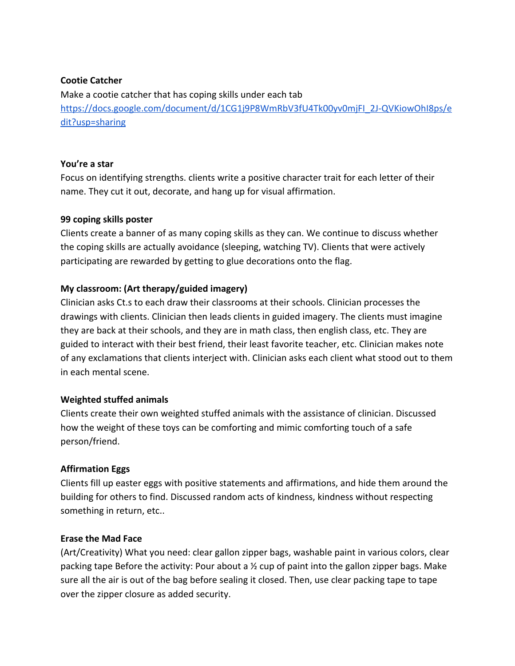#### **Cootie Catcher**

Make a cootie catcher that has coping skills under each tab [https://docs.google.com/document/d/1CG1j9P8WmRbV3fU4Tk00yv0mjFI\\_2J-QVKiowOhI8ps/e](https://docs.google.com/document/d/1CG1j9P8WmRbV3fU4Tk00yv0mjFI_2J-QVKiowOhI8ps/edit?usp=sharing) [dit?usp=sharing](https://docs.google.com/document/d/1CG1j9P8WmRbV3fU4Tk00yv0mjFI_2J-QVKiowOhI8ps/edit?usp=sharing)

# **You're a star**

Focus on identifying strengths. clients write a positive character trait for each letter of their name. They cut it out, decorate, and hang up for visual affirmation.

### **99 coping skills poster**

Clients create a banner of as many coping skills as they can. We continue to discuss whether the coping skills are actually avoidance (sleeping, watching TV). Clients that were actively participating are rewarded by getting to glue decorations onto the flag.

# **My classroom: (Art therapy/guided imagery)**

Clinician asks Ct.s to each draw their classrooms at their schools. Clinician processes the drawings with clients. Clinician then leads clients in guided imagery. The clients must imagine they are back at their schools, and they are in math class, then english class, etc. They are guided to interact with their best friend, their least favorite teacher, etc. Clinician makes note of any exclamations that clients interject with. Clinician asks each client what stood out to them in each mental scene.

#### **Weighted stuffed animals**

Clients create their own weighted stuffed animals with the assistance of clinician. Discussed how the weight of these toys can be comforting and mimic comforting touch of a safe person/friend.

# **Affirmation Eggs**

Clients fill up easter eggs with positive statements and affirmations, and hide them around the building for others to find. Discussed random acts of kindness, kindness without respecting something in return, etc..

#### **Erase the Mad Face**

(Art/Creativity) What you need: clear gallon zipper bags, washable paint in various colors, clear packing tape Before the activity: Pour about a  $\frac{1}{2}$  cup of paint into the gallon zipper bags. Make sure all the air is out of the bag before sealing it closed. Then, use clear packing tape to tape over the zipper closure as added security.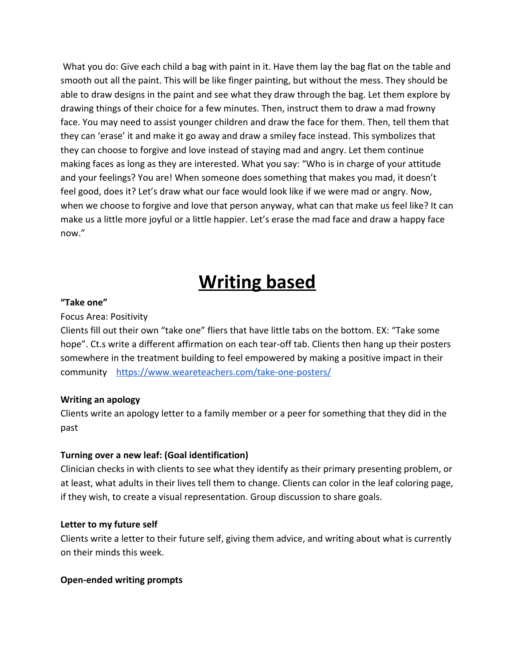What you do: Give each child a bag with paint in it. Have them lay the bag flat on the table and smooth out all the paint. This will be like finger painting, but without the mess. They should be able to draw designs in the paint and see what they draw through the bag. Let them explore by drawing things of their choice for a few minutes. Then, instruct them to draw a mad frowny face. You may need to assist younger children and draw the face for them. Then, tell them that they can 'erase' it and make it go away and draw a smiley face instead. This symbolizes that they can choose to forgive and love instead of staying mad and angry. Let them continue making faces as long as they are interested. What you say: "Who is in charge of your attitude and your feelings? You are! When someone does something that makes you mad, it doesn't feel good, does it? Let's draw what our face would look like if we were mad or angry. Now, when we choose to forgive and love that person anyway, what can that make us feel like? It can make us a little more joyful or a little happier. Let's erase the mad face and draw a happy face now."

# **Writing based**

### **"Take one"**

### Focus Area: Positivity

Clients fill out their own "take one" fliers that have little tabs on the bottom. EX: "Take some hope". Ct.s write a different affirmation on each tear-off tab. Clients then hang up their posters somewhere in the treatment building to feel empowered by making a positive impact in their community <https://www.weareteachers.com/take-one-posters/>

# **Writing an apology**

Clients write an apology letter to a family member or a peer for something that they did in the past

# **Turning over a new leaf: (Goal identification)**

Clinician checks in with clients to see what they identify as their primary presenting problem, or at least, what adults in their lives tell them to change. Clients can color in the leaf coloring page, if they wish, to create a visual representation. Group discussion to share goals.

#### **Letter to my future self**

Clients write a letter to their future self, giving them advice, and writing about what is currently on their minds this week.

#### **Open-ended writing prompts**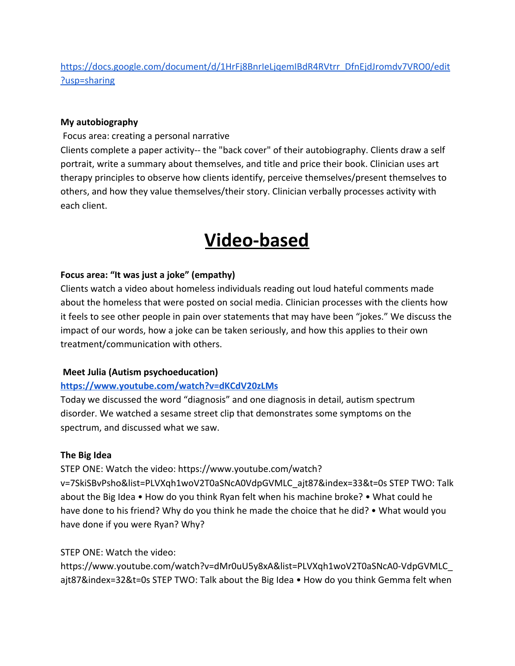[https://docs.google.com/document/d/1HrFj8BnrIeLjqemIBdR4RVtrr\\_DfnEjdJromdv7VRO0/edit](https://docs.google.com/document/d/1HrFj8BnrIeLjqemIBdR4RVtrr_DfnEjdJromdv7VRO0/edit?usp=sharing) [?usp=sharing](https://docs.google.com/document/d/1HrFj8BnrIeLjqemIBdR4RVtrr_DfnEjdJromdv7VRO0/edit?usp=sharing)

#### **My autobiography**

Focus area: creating a personal narrative

Clients complete a paper activity-- the "back cover" of their autobiography. Clients draw a self portrait, write a summary about themselves, and title and price their book. Clinician uses art therapy principles to observe how clients identify, perceive themselves/present themselves to others, and how they value themselves/their story. Clinician verbally processes activity with each client.

# **Video-based**

### **Focus area: "It was just a joke" (empathy)**

Clients watch a video about homeless individuals reading out loud hateful comments made about the homeless that were posted on social media. Clinician processes with the clients how it feels to see other people in pain over statements that may have been "jokes." We discuss the impact of our words, how a joke can be taken seriously, and how this applies to their own treatment/communication with others.

#### **Meet Julia (Autism psychoeducation)**

# **<https://www.youtube.com/watch?v=dKCdV20zLMs>**

Today we discussed the word "diagnosis" and one diagnosis in detail, autism spectrum disorder. We watched a sesame street clip that demonstrates some symptoms on the spectrum, and discussed what we saw.

#### **The Big Idea**

STEP ONE: Watch the video: https://www.youtube.com/watch?

v=7SkiSBvPsho&list=PLVXqh1woV2T0aSNcA0VdpGVMLC\_ajt87&index=33&t=0s STEP TWO: Talk about the Big Idea • How do you think Ryan felt when his machine broke? • What could he have done to his friend? Why do you think he made the choice that he did? • What would you have done if you were Ryan? Why?

#### STEP ONE: Watch the video:

https://www.youtube.com/watch?v=dMr0uU5y8xA&list=PLVXqh1woV2T0aSNcA0-VdpGVMLC\_ ajt87&index=32&t=0s STEP TWO: Talk about the Big Idea • How do you think Gemma felt when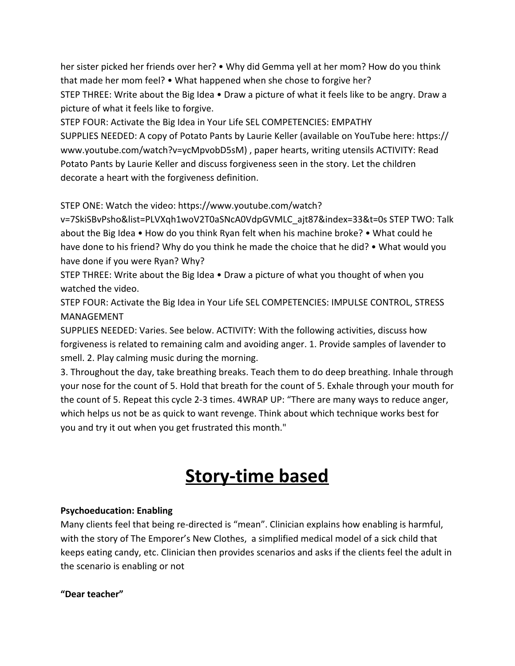her sister picked her friends over her? • Why did Gemma yell at her mom? How do you think that made her mom feel? • What happened when she chose to forgive her? STEP THREE: Write about the Big Idea • Draw a picture of what it feels like to be angry. Draw a picture of what it feels like to forgive.

STEP FOUR: Activate the Big Idea in Your Life SEL COMPETENCIES: EMPATHY SUPPLIES NEEDED: A copy of Potato Pants by Laurie Keller (available on YouTube here: https:// www.youtube.com/watch?v=ycMpvobD5sM) , paper hearts, writing utensils ACTIVITY: Read Potato Pants by Laurie Keller and discuss forgiveness seen in the story. Let the children decorate a heart with the forgiveness definition.

STEP ONE: Watch the video: https://www.youtube.com/watch?

v=7SkiSBvPsho&list=PLVXqh1woV2T0aSNcA0VdpGVMLC\_ajt87&index=33&t=0s STEP TWO: Talk about the Big Idea • How do you think Ryan felt when his machine broke? • What could he have done to his friend? Why do you think he made the choice that he did? • What would you have done if you were Ryan? Why?

STEP THREE: Write about the Big Idea • Draw a picture of what you thought of when you watched the video.

STEP FOUR: Activate the Big Idea in Your Life SEL COMPETENCIES: IMPULSE CONTROL, STRESS MANAGEMENT

SUPPLIES NEEDED: Varies. See below. ACTIVITY: With the following activities, discuss how forgiveness is related to remaining calm and avoiding anger. 1. Provide samples of lavender to smell. 2. Play calming music during the morning.

3. Throughout the day, take breathing breaks. Teach them to do deep breathing. Inhale through your nose for the count of 5. Hold that breath for the count of 5. Exhale through your mouth for the count of 5. Repeat this cycle 2-3 times. 4WRAP UP: "There are many ways to reduce anger, which helps us not be as quick to want revenge. Think about which technique works best for you and try it out when you get frustrated this month."

# **Story-time based**

# **Psychoeducation: Enabling**

Many clients feel that being re-directed is "mean". Clinician explains how enabling is harmful, with the story of The Emporer's New Clothes, a simplified medical model of a sick child that keeps eating candy, etc. Clinician then provides scenarios and asks if the clients feel the adult in the scenario is enabling or not

# **"Dear teacher"**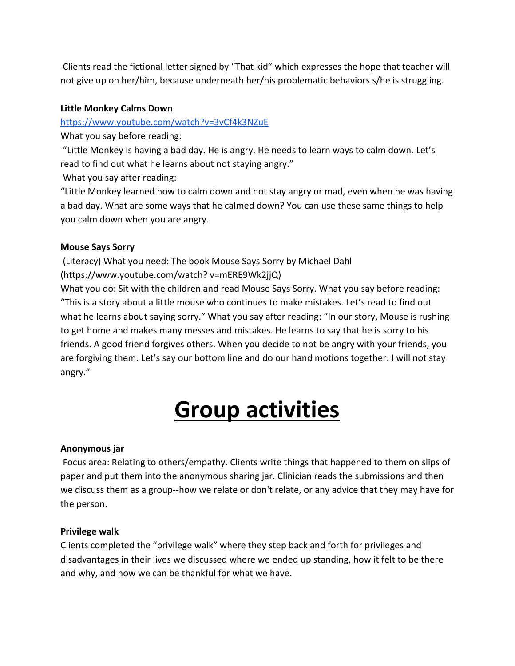Clients read the fictional letter signed by "That kid" which expresses the hope that teacher will not give up on her/him, because underneath her/his problematic behaviors s/he is struggling.

# **Little Monkey Calms Dow**n

<https://www.youtube.com/watch?v=3vCf4k3NZuE>

What you say before reading:

 "Little Monkey is having a bad day. He is angry. He needs to learn ways to calm down. Let's read to find out what he learns about not staying angry."

What you say after reading:

"Little Monkey learned how to calm down and not stay angry or mad, even when he was having a bad day. What are some ways that he calmed down? You can use these same things to help you calm down when you are angry.

### **Mouse Says Sorry**

 (Literacy) What you need: The book Mouse Says Sorry by Michael Dahl (https://www.youtube.com/watch? v=mERE9Wk2jjQ)

What you do: Sit with the children and read Mouse Says Sorry. What you say before reading: "This is a story about a little mouse who continues to make mistakes. Let's read to find out what he learns about saying sorry." What you say after reading: "In our story, Mouse is rushing to get home and makes many messes and mistakes. He learns to say that he is sorry to his friends. A good friend forgives others. When you decide to not be angry with your friends, you are forgiving them. Let's say our bottom line and do our hand motions together: I will not stay angry."

# **Group activities**

#### **Anonymous jar**

 Focus area: Relating to others/empathy. Clients write things that happened to them on slips of paper and put them into the anonymous sharing jar. Clinician reads the submissions and then we discuss them as a group--how we relate or don't relate, or any advice that they may have for the person.

#### **Privilege walk**

Clients completed the "privilege walk" where they step back and forth for privileges and disadvantages in their lives we discussed where we ended up standing, how it felt to be there and why, and how we can be thankful for what we have.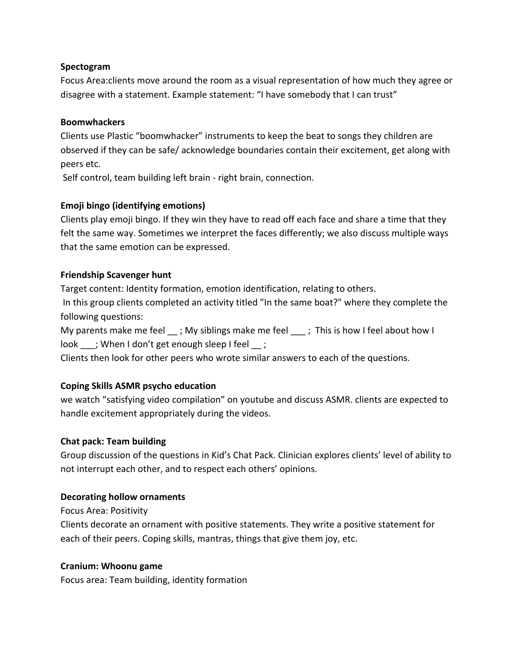### **Spectogram**

Focus Area:clients move around the room as a visual representation of how much they agree or disagree with a statement. Example statement: "I have somebody that I can trust"

### **Boomwhackers**

Clients use Plastic "boomwhacker" instruments to keep the beat to songs they children are observed if they can be safe/ acknowledge boundaries contain their excitement, get along with peers etc.

Self control, team building left brain - right brain, connection.

# **Emoji bingo (identifying emotions)**

Clients play emoji bingo. If they win they have to read off each face and share a time that they felt the same way. Sometimes we interpret the faces differently; we also discuss multiple ways that the same emotion can be expressed.

# **Friendship Scavenger hunt**

Target content: Identity formation, emotion identification, relating to others.

 In this group clients completed an activity titled "In the same boat?" where they complete the following questions:

My parents make me feel  $\cdot$ ; My siblings make me feel  $\cdot$ ; This is how I feel about how I look ; When I don't get enough sleep I feel ;

Clients then look for other peers who wrote similar answers to each of the questions.

# **Coping Skills ASMR psycho education**

we watch "satisfying video compilation" on youtube and discuss ASMR. clients are expected to handle excitement appropriately during the videos.

# **Chat pack: Team building**

Group discussion of the questions in Kid's Chat Pack. Clinician explores clients' level of ability to not interrupt each other, and to respect each others' opinions.

# **Decorating hollow ornaments**

Focus Area: Positivity

Clients decorate an ornament with positive statements. They write a positive statement for each of their peers. Coping skills, mantras, things that give them joy, etc.

# **Cranium: Whoonu game**

Focus area: Team building, identity formation